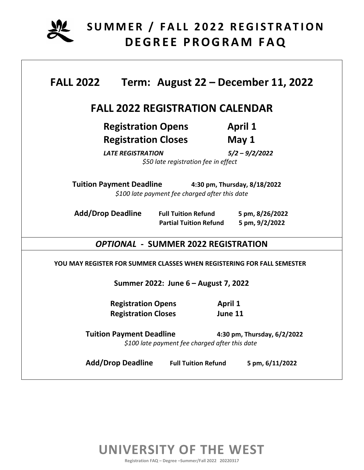

| <b>FALL 2022</b>                                                                                                 |                                                             | Term: August 22 - December 11, 2022         |  |  |
|------------------------------------------------------------------------------------------------------------------|-------------------------------------------------------------|---------------------------------------------|--|--|
|                                                                                                                  | <b>FALL 2022 REGISTRATION CALENDAR</b>                      |                                             |  |  |
| <b>Registration Opens</b><br><b>Registration Closes</b><br><b>LATE REGISTRATION</b>                              | \$50 late registration fee in effect                        | <b>April 1</b><br>May 1<br>$5/2 - 9/2/2022$ |  |  |
| <b>Tuition Payment Deadline</b>                                                                                  | \$100 late payment fee charged after this date              | 4:30 pm, Thursday, 8/18/2022                |  |  |
| <b>Add/Drop Deadline</b>                                                                                         | <b>Full Tuition Refund</b><br><b>Partial Tuition Refund</b> | 5 pm, 8/26/2022<br>5 pm, 9/2/2022           |  |  |
|                                                                                                                  | <b>OPTIONAL - SUMMER 2022 REGISTRATION</b>                  |                                             |  |  |
| YOU MAY REGISTER FOR SUMMER CLASSES WHEN REGISTERING FOR FALL SEMESTER                                           |                                                             |                                             |  |  |
| Summer 2022: June 6 - August 7, 2022                                                                             |                                                             |                                             |  |  |
| <b>Registration Opens</b><br><b>Registration Closes</b>                                                          | <b>April 1</b><br>June 11                                   |                                             |  |  |
| <b>Tuition Payment Deadline</b><br>4:30 pm, Thursday, 6/2/2022<br>\$100 late payment fee charged after this date |                                                             |                                             |  |  |
|                                                                                                                  | Add/Drop Deadline Full Tuition Refund                       | 5 pm, 6/11/2022                             |  |  |

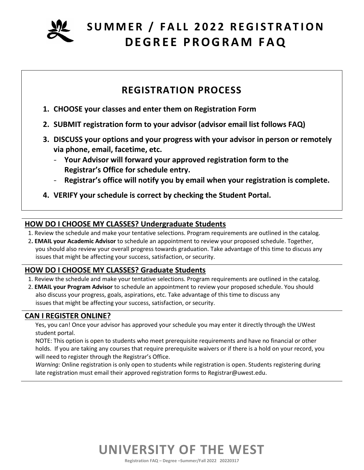

### **REGISTRATION PROCESS**

- **1. CHOOSE your classes and enter them on Registration Form**
- **2. SUBMIT registration form to your advisor (advisor email list follows FAQ)**
- **3. DISCUSS your options and your progress with your advisor in person or remotely via phone, email, facetime, etc.** 
	- **Your Advisor will forward your approved registration form to the Registrar's Office for schedule entry.**
	- **Registrar's office will notify you by email when your registration is complete.**
- **4. VERIFY your schedule is correct by checking the Student Portal.**

### **HOW DO I CHOOSE MY CLASSES? Undergraduate Students**

1. Review the schedule and make your tentative selections. Program requirements are outlined in the catalog.

2**. EMAIL your Academic Advisor** to schedule an appointment to review your proposed schedule. Together, you should also review your overall progress towards graduation. Take advantage of this time to discuss any issues that might be affecting your success, satisfaction, or security.

### **HOW DO I CHOOSE MY CLASSES? Graduate Students**

- 1. Review the schedule and make your tentative selections. Program requirements are outlined in the catalog.
- 2. **EMAIL your Program Advisor** to schedule an appointment to review your proposed schedule. You should also discuss your progress, goals, aspirations, etc. Take advantage of this time to discuss any issues that might be affecting your success, satisfaction, or security.

### **CAN I REGISTER ONLINE?**

Yes, you can! Once your advisor has approved your schedule you may enter it directly through the UWest student portal.

NOTE: This option is open to students who meet prerequisite requirements and have no financial or other holds. If you are taking any courses that require prerequisite waivers or if there is a hold on your record, you will need to register through the Registrar's Office.

*Warning:* Online registration is only open to students while registration is open. Students registering during late registration must email their approved registration forms to Registrar@uwest.edu.

# **UNIVERSITY OF THE WEST**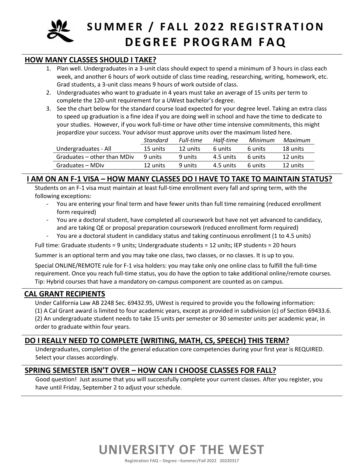

#### **HOW MANY CLASSES SHOULD I TAKE?**

- 1. Plan well. Undergraduates in a 3-unit class should expect to spend a minimum of 3 hours in class each week, and another 6 hours of work outside of class time reading, researching, writing, homework, etc. Grad students, a 3-unit class means 9 hours of work outside of class.
- 2. Undergraduates who want to graduate in 4 years must take an average of 15 units per term to complete the 120-unit requirement for a UWest bachelor's degree.
- 3. See the chart below for the standard course load expected for your degree level. Taking an extra class to speed up graduation is a fine idea if you are doing well in school and have the time to dedicate to your studies. However, if you work full-time or have other time intensive commitments, this might jeopardize your success. Your advisor must approve units over the maximum listed here.

|                             | Standard | Full-time | Half-time | Minimum | Maximum  |
|-----------------------------|----------|-----------|-----------|---------|----------|
| Undergraduates - All        | 15 units | 12 units  | 6 units   | 6 units | 18 units |
| Graduates – other than MDiv | 9 units  | 9 units   | 4.5 units | 6 units | 12 units |
| Graduates – MDiv            | 12 units | 9 units   | 4.5 units | 6 units | 12 units |

#### **I AM ON AN F-1 VISA – HOW MANY CLASSES DO I HAVE TO TAKE TO MAINTAIN STATUS?**

Students on an F-1 visa must maintain at least full-time enrollment every fall and spring term, with the following exceptions:

- You are entering your final term and have fewer units than full time remaining (reduced enrollment form required)
- You are a doctoral student, have completed all coursework but have not yet advanced to candidacy, and are taking QE or proposal preparation coursework (reduced enrollment form required)
- You are a doctoral student in candidacy status and taking continuous enrollment (1 to 4.5 units)

Full time: Graduate students = 9 units; Undergraduate students = 12 units; IEP students = 20 hours

Summer is an optional term and you may take one class, two classes, or no classes. It is up to you.

Special ONLINE/REMOTE rule for F-1 visa holders: you may take only one online class to fulfill the full-time requirement. Once you reach full-time status, you do have the option to take additional online/remote courses. Tip: Hybrid courses that have a mandatory on-campus component are counted as on campus.

#### **CAL GRANT RECIPIENTS**

Under California Law AB 2248 Sec. 69432.95, UWest is required to provide you the following information: (1) A Cal Grant award is limited to four academic years, except as provided in subdivision (c) of Section 69433.6. (2) An undergraduate student needs to take 15 units per semester or 30 semester units per academic year, in order to graduate within four years.

### **DO I REALLY NEED TO COMPLETE {WRITING, MATH, CS, SPEECH} THIS TERM?**

Undergraduates, completion of the general education core competencies during your first year is REQUIRED. Select your classes accordingly.

### **SPRING SEMESTER ISN'T OVER – HOW CAN I CHOOSE CLASSES FOR FALL?**

Good question! Just assume that you will successfully complete your current classes. After you register, you have until Friday, September 2 to adjust your schedule.

# **UNIVERSITY OF THE WEST**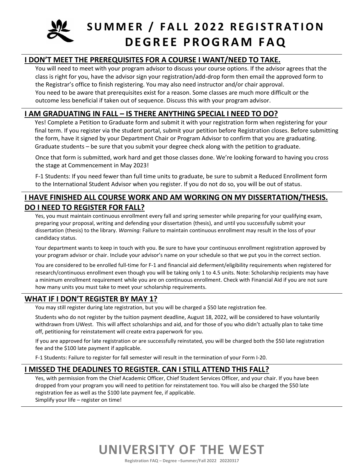

### **I DON'T MEET THE PREREQUISITES FOR A COURSE I WANT/NEED TO TAKE.**

You will need to meet with your program advisor to discuss your course options. If the advisor agrees that the class is right for you, have the advisor sign your registration/add-drop form then email the approved form to the Registrar's office to finish registering. You may also need instructor and/or chair approval. You need to be aware that prerequisites exist for a reason. Some classes are much more difficult or the outcome less beneficial if taken out of sequence. Discuss this with your program advisor.

#### **I AM GRADUATING IN FALL – IS THERE ANYTHING SPECIAL I NEED TO DO?**

Yes! Complete a Petition to Graduate form and submit it with your registration form when registering for your final term. If you register via the student portal, submit your petition before Registration closes. Before submitting the form, have it signed by your Department Chair or Program Advisor to confirm that you are graduating. Graduate students – be sure that you submit your degree check along with the petition to graduate.

Once that form is submitted, work hard and get those classes done. We're looking forward to having you cross the stage at Commencement in May 2023!

F-1 Students: If you need fewer than full time units to graduate, be sure to submit a Reduced Enrollment form to the International Student Advisor when you register. If you do not do so, you will be out of status.

### **I HAVE FINISHED ALL COURSE WORK AND AM WORKING ON MY DISSERTATION/THESIS. DO I NEED TO REGISTER FOR FALL?**

Yes, you must maintain continuous enrollment every fall and spring semester while preparing for your qualifying exam, preparing your proposal, writing and defending your dissertation (thesis), and until you successfully submit your dissertation (thesis) to the library. *Warning:* Failure to maintain continuous enrollment may result in the loss of your candidacy status.

Your department wants to keep in touch with you. Be sure to have your continuous enrollment registration approved by your program advisor or chair. Include your advisor's name on your schedule so that we put you in the correct section.

You are considered to be enrolled full-time for F-1 and financial aid deferment/eligibility requirements when registered for research/continuous enrollment even though you will be taking only 1 to 4.5 units. Note: Scholarship recipients may have a minimum enrollment requirement while you are on continuous enrollment. Check with Financial Aid if you are not sure how many units you must take to meet your scholarship requirements.

#### **WHAT IF I DON'T REGISTER BY MAY 1?**

You may still register during late registration, but you will be charged a \$50 late registration fee.

Students who do not register by the tuition payment deadline, August 18, 2022, will be considered to have voluntarily withdrawn from UWest. This will affect scholarships and aid, and for those of you who didn't actually plan to take time off, petitioning for reinstatement will create extra paperwork for you.

If you are approved for late registration or are successfully reinstated, you will be charged both the \$50 late registration fee and the \$100 late payment if applicable.

F-1 Students: Failure to register for fall semester will result in the termination of your Form I-20.

#### **I MISSED THE DEADLINES TO REGISTER. CAN I STILL ATTEND THIS FALL?**

Yes, with permission from the Chief Academic Officer, Chief Student Services Officer, and your chair. If you have been dropped from your program you will need to petition for reinstatement too. You will also be charged the \$50 late registration fee as well as the \$100 late payment fee, if applicable. Simplify your life – register on time!

### **UNIVERSITY OF THE WEST**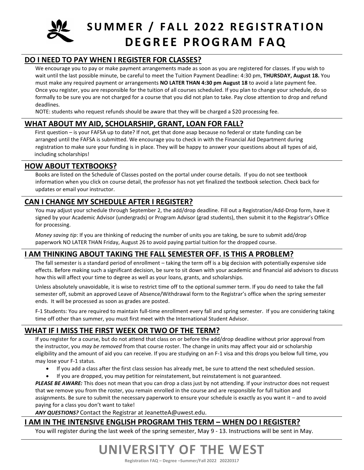

### **DO I NEED TO PAY WHEN I REGISTER FOR CLASSES?**

We encourage you to pay or make payment arrangements made as soon as you are registered for classes. If you wish to wait until the last possible minute, be careful to meet the Tuition Payment Deadline: 4:30 pm, **THURSDAY, August 18.** You must make any required payment or arrangements **NO LATER THAN 4:30 pm August 18** to avoid a late payment fee. Once you register, you are responsible for the tuition of all courses scheduled. If you plan to change your schedule, do so formally to be sure you are not charged for a course that you did not plan to take. Pay close attention to drop and refund deadlines.

NOTE: students who request refunds should be aware that they will be charged a \$20 processing fee.

#### **WHAT ABOUT MY AID, SCHOLARSHIP, GRANT, LOAN FOR FALL?**

 First question – is your FAFSA up to date? If not, get that done asap because no federal or state funding can be arranged until the FAFSA is submitted. We encourage you to check in with the Financial Aid Department during registration to make sure your funding is in place. They will be happy to answer your questions about all types of aid, including scholarships!

#### **HOW ABOUT TEXTBOOKS?**

Books are listed on the Schedule of Classes posted on the portal under course details. If you do not see textbook information when you click on course detail, the professor has not yet finalized the textbook selection. Check back for updates or email your instructor.

#### **CAN I CHANGE MY SCHEDULE AFTER I REGISTER?**

You may adjust your schedule through September 2, the add/drop deadline. Fill out a Registration/Add-Drop form, have it signed by your Academic Advisor (undergrads) or Program Advisor (grad students), then submit it to the Registrar's Office for processing.

*Money saving tip*: If you are thinking of reducing the number of units you are taking, be sure to submit add/drop paperwork NO LATER THAN Friday, August 26 to avoid paying partial tuition for the dropped course.

### **I AM THINKING ABOUT TAKING THE FALL SEMESTER OFF. IS THIS A PROBLEM?**

The fall semester is a standard period of enrollment – taking the term off is a big decision with potentially expensive side effects. Before making such a significant decision, be sure to sit down with your academic and financial aid advisors to discuss how this will affect your time to degree as well as your loans, grants, and scholarships.

Unless absolutely unavoidable, it is wise to restrict time off to the optional summer term. If you do need to take the fall semester off, submit an approved Leave of Absence/Withdrawal form to the Registrar's office when the spring semester ends. It will be processed as soon as grades are posted.

F-1 Students: You are required to maintain full-time enrollment every fall and spring semester. If you are considering taking time off other than summer, you must first meet with the International Student Advisor.

### **WHAT IF I MISS THE FIRST WEEK OR TWO OF THE TERM?**

If you register for a course, but do not attend that class on or before the add/drop deadline without prior approval from the instructor, you *may be removed* from that course roster. The change in units may affect your aid or scholarship eligibility and the amount of aid you can receive. If you are studying on an F-1 visa and this drops you below full time, you may lose your F-1 status.

- If you add a class after the first class session has already met, be sure to attend the next scheduled session.
- If you are dropped, you may petition for reinstatement, but reinstatement is not guaranteed.

*PLEASE BE AWARE:* This does not mean that you can drop a class just by not attending. If your instructor does not request that we remove you from the roster, you remain enrolled in the course and are responsible for full tuition and assignments. Be sure to submit the necessary paperwork to ensure your schedule is exactly as you want it – and to avoid paying for a class you don't want to take!

*ANY QUESTIONS?* Contact the Registrar at [JeanetteA@uwest.edu.](mailto:JeanetteA@uwest.edu)

### **I AM IN THE INTENSIVE ENGLISH PROGRAM THIS TERM – WHEN DO I REGISTER?**

You will register during the last week of the spring semester, May 9 - 13. Instructions will be sent in May.

### **UNIVERSITY OF THE WEST**